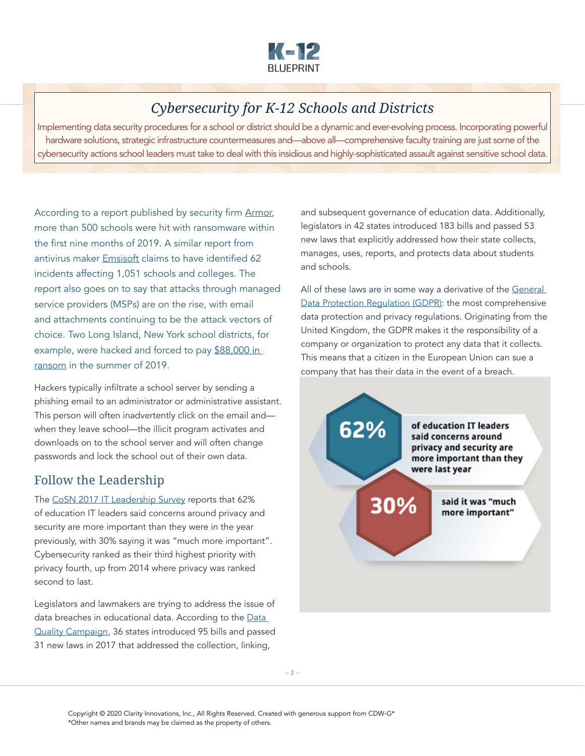

# *Cybersecurity for K-12 Schools and Districts*

Implementing data security procedures for a school or district should be a dynamic and ever-evolving process. Incorporating powerful hardware solutions, strategic infrastructure countermeasures and—above all—comprehensive faculty training are just some of the cybersecurity actions school leaders must take to deal with this insidious and highly-sophisticated assault against sensitive school data.

According to a report published by security firm [Armor](https://www.campussafetymagazine.com/safety/500-schools-ransomware-2019/), more than 500 schools were hit with ransomware within the first nine months of 2019. A similar report from antivirus maker [Emsisoft](https://blog.emsisoft.com/en/34193/state-of-ransomware-in-the-u-s-2019-report-for-q1-to-q3/) claims to have identified 62 incidents affecting 1,051 schools and colleges. The report also goes on to say that attacks through managed service providers (MSPs) are on the rise, with email and attachments continuing to be the attack vectors of choice. Two Long Island, New York school districts, for example, were hacked and forced to pay \$88,000 in [ransom](https://www.nbcnewyork.com/news/local/long-island-schools-hacked-district-forced-to-pay-88000-in-ransom/1491924/) in the summer of 2019.

Hackers typically infiltrate a school server by sending a phishing email to an administrator or administrative assistant. This person will often inadvertently click on the email and when they leave school—the illicit program activates and downloads on to the school server and will often change passwords and lock the school out of their own data.

# Follow the Leadership

The [CoSN 2017 IT Leadership Survey](http://www.cosn.org/sites/default/files/CoSN_ITLdrship_Report_2017_040317.pdf) reports that 62% of education IT leaders said concerns around privacy and security are more important than they were in the year previously, with 30% saying it was "much more important". Cybersecurity ranked as their third highest priority with privacy fourth, up from 2014 where privacy was ranked second to last.

Legislators and lawmakers are trying to address the issue of data breaches in educational data. According to the [Data](http://2pido73em67o3eytaq1cp8au.wpengine.netdna-cdn.com/wp-content/uploads/2016/09/DQC-Legislative-summary-09232016.pdf)  [Quality Campaign,](http://2pido73em67o3eytaq1cp8au.wpengine.netdna-cdn.com/wp-content/uploads/2016/09/DQC-Legislative-summary-09232016.pdf) 36 states introduced 95 bills and passed 31 new laws in 2017 that addressed the collection, linking,

and subsequent governance of education data. Additionally, legislators in 42 states introduced 183 bills and passed 53 new laws that explicitly addressed how their state collects, manages, uses, reports, and protects data about students and schools.

All of these laws are in some way a derivative of the General [Data Protection Regulation \(GDPR\)](https://gdpr-info.eu/): the most comprehensive data protection and privacy regulations. Originating from the United Kingdom, the GDPR makes it the responsibility of a company or organization to protect any data that it collects. This means that a citizen in the European Union can sue a company that has their data in the event of a breach.

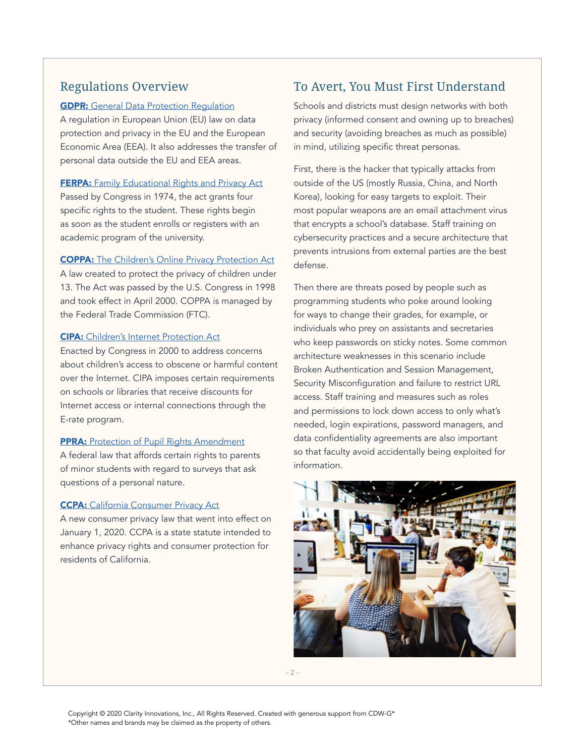# Regulations Overview

### **GDPR:** [General Data Protection Regulation](https://gdpr-info.eu/)

A regulation in European Union (EU) law on data protection and privacy in the EU and the European Economic Area (EEA). It also addresses the transfer of personal data outside the EU and EEA areas.

#### **FERPA:** [Family Educational Rights and Privacy Act](https://www2.ed.gov/policy/gen/guid/fpco/ferpa/index.html)

Passed by Congress in 1974, the act grants four specific rights to the student. These rights begin as soon as the student enrolls or registers with an academic program of the university.

### COPPA: [The Children's Online Privacy Protection Act](https://www.ftc.gov/enforcement/rules/rulemaking-regulatory-reform-proceedings/childrens-online-privacy-protection-rule)

A law created to protect the privacy of children under 13. The Act was passed by the U.S. Congress in 1998 and took effect in April 2000. COPPA is managed by the Federal Trade Commission (FTC).

### CIPA: [Children's Internet Protection Act](https://www.fcc.gov/consumers/guides/childrens-internet-protection-act)

Enacted by Congress in 2000 to address concerns about children's access to obscene or harmful content over the Internet. CIPA imposes certain requirements on schools or libraries that receive discounts for Internet access or internal connections through the E-rate program.

### **PPRA:** [Protection of Pupil Rights Amendment](https://studentprivacy.ed.gov/faq/what-protection-pupil-rights-amendment-ppra)

A federal law that affords certain rights to parents of minor students with regard to surveys that ask questions of a personal nature.

#### **CCPA:** [California Consumer Privacy Act](https://oag.ca.gov/privacy/ccpa)

A new consumer privacy law that went into effect on January 1, 2020. CCPA is a state statute intended to enhance privacy rights and consumer protection for residents of California.

# To Avert, You Must First Understand

Schools and districts must design networks with both privacy (informed consent and owning up to breaches) and security (avoiding breaches as much as possible) in mind, utilizing specific threat personas.

First, there is the hacker that typically attacks from outside of the US (mostly Russia, China, and North Korea), looking for easy targets to exploit. Their most popular weapons are an email attachment virus that encrypts a school's database. Staff training on cybersecurity practices and a secure architecture that prevents intrusions from external parties are the best defense.

Then there are threats posed by people such as programming students who poke around looking for ways to change their grades, for example, or individuals who prey on assistants and secretaries who keep passwords on sticky notes. Some common architecture weaknesses in this scenario include Broken Authentication and Session Management, Security Misconfiguration and failure to restrict URL access. Staff training and measures such as roles and permissions to lock down access to only what's needed, login expirations, password managers, and data confidentiality agreements are also important so that faculty avoid accidentally being exploited for information.



*– 2 –*